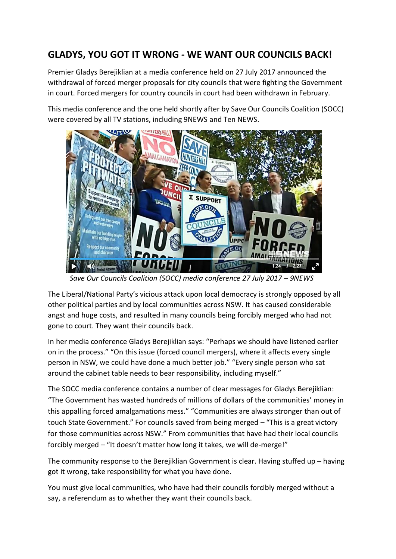## **GLADYS, YOU GOT IT WRONG - WE WANT OUR COUNCILS BACK!**

Premier Gladys Berejiklian at a media conference held on 27 July 2017 announced the withdrawal of forced merger proposals for city councils that were fighting the Government in court. Forced mergers for country councils in court had been withdrawn in February.

This media conference and the one held shortly after by Save Our Councils Coalition (SOCC) were covered by all TV stations, including 9NEWS and Ten NEWS.



 *Save Our Councils Coalition (SOCC) media conference 27 July 2017 – 9NEWS*

The Liberal/National Party's vicious attack upon local democracy is strongly opposed by all other political parties and by local communities across NSW. It has caused considerable angst and huge costs, and resulted in many councils being forcibly merged who had not gone to court. They want their councils back.

In her media conference Gladys Berejiklian says: "Perhaps we should have listened earlier on in the process." "On this issue (forced council mergers), where it affects every single person in NSW, we could have done a much better job." "Every single person who sat around the cabinet table needs to bear responsibility, including myself."

The SOCC media conference contains a number of clear messages for Gladys Berejiklian: "The Government has wasted hundreds of millions of dollars of the communities' money in this appalling forced amalgamations mess." "Communities are always stronger than out of touch State Government." For councils saved from being merged – "This is a great victory for those communities across NSW." From communities that have had their local councils forcibly merged – "It doesn't matter how long it takes, we will de-merge!"

The community response to the Berejiklian Government is clear. Having stuffed up – having got it wrong, take responsibility for what you have done.

You must give local communities, who have had their councils forcibly merged without a say, a referendum as to whether they want their councils back.